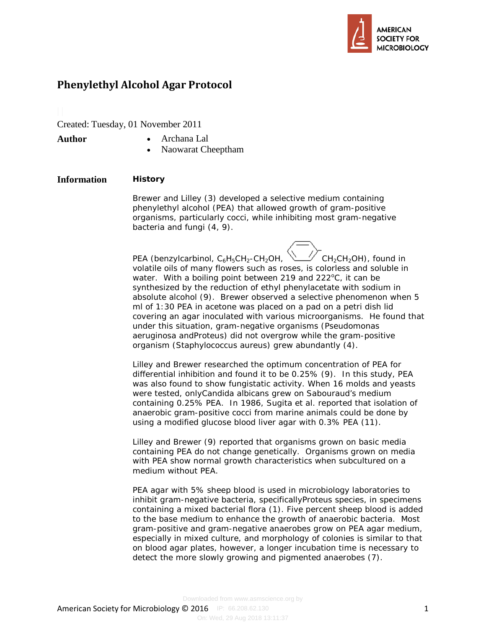

# **Phenylethyl Alcohol Agar Protocol**

Created: Tuesday, 01 November 2011

- **Author** Archana Lal
	- Naowarat Cheeptham

# **Information History**

Brewer and Lilley (3) developed a selective medium containing phenylethyl alcohol (PEA) that allowed growth of gram-positive organisms, particularly cocci, while inhibiting most gram-negative bacteria and fungi (4, 9).

PEA (benzylcarbinol,  $C_6H_5CH_2$ -CH<sub>2</sub>OH,  $\sqrt{C}$ CH<sub>2</sub>CH<sub>2</sub>OH), found in volatile oils of many flowers such as roses, is colorless and soluble in water. With a boiling point between 219 and 222°C, it can be synthesized by the reduction of ethyl phenylacetate with sodium in absolute alcohol (9). Brewer observed a selective phenomenon when 5 ml of 1:30 PEA in acetone was placed on a pad on a petri dish lid covering an agar inoculated with various microorganisms. He found that under this situation, gram-negative organisms (*Pseudomonas aeruginosa* and*Proteus*) did not overgrow while the gram-positive organism (*Staphylococcus aureus)* grew abundantly (4).

Lilley and Brewer researched the optimum concentration of PEA for differential inhibition and found it to be 0.25% (9). In this study, PEA was also found to show fungistatic activity. When 16 molds and yeasts were tested, only*Candida albicans* grew on Sabouraud's medium containing 0.25% PEA. In 1986, Sugita et al. reported that isolation of anaerobic gram-positive cocci from marine animals could be done by using a modified glucose blood liver agar with 0.3% PEA (11).

Lilley and Brewer (9) reported that organisms grown on basic media containing PEA do not change genetically. Organisms grown on media with PEA show normal growth characteristics when subcultured on a medium without PEA.

PEA agar with 5% sheep blood is used in microbiology laboratories to inhibit gram-negative bacteria, specifically*Proteus* species, in specimens containing a mixed bacterial flora (1). Five percent sheep blood is added to the base medium to enhance the growth of anaerobic bacteria. Most gram-positive and gram-negative anaerobes grow on PEA agar medium, especially in mixed culture, and morphology of colonies is similar to that on blood agar plates, however, a longer incubation time is necessary to detect the more slowly growing and pigmented anaerobes (7).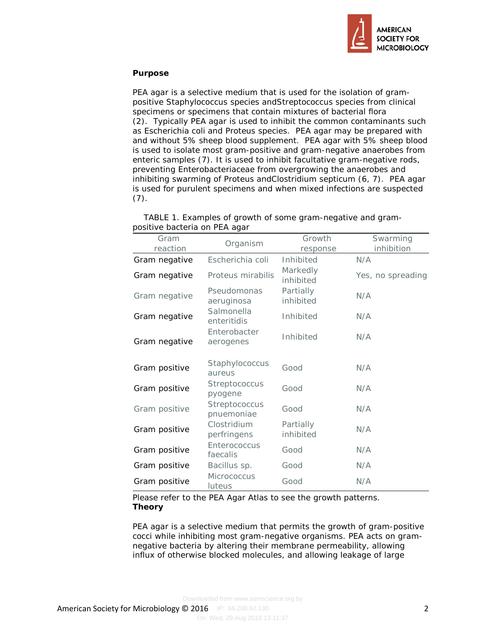

## **Purpose**

PEA agar is a selective medium that is used for the isolation of grampositive *Staphylococcus* species and*Streptococcus* species from clinical specimens or specimens that contain mixtures of bacterial flora (2). Typically PEA agar is used to inhibit the common contaminants such as *Escherichia coli* and *Proteus* species. PEA agar may be prepared with and without 5% sheep blood supplement. PEA agar with 5% sheep blood is used to isolate most gram-positive and gram-negative anaerobes from enteric samples (7). It is used to inhibit facultative gram-negative rods, preventing *Enterobacteriaceae* from overgrowing the anaerobes and inhibiting swarming of *Proteus* and*Clostridium septicum* (6, 7). PEA agar is used for purulent specimens and when mixed infections are suspected  $(7).$ 

| Gram          | Organism                        | Growth                 | Swarming          |
|---------------|---------------------------------|------------------------|-------------------|
| reaction      |                                 | response               | inhibition        |
| Gram negative | Escherichia coli                | Inhibited              | N/A               |
| Gram negative | Proteus mirabilis               | Markedly<br>inhibited  | Yes, no spreading |
| Gram negative | Pseudomonas<br>aeruginosa       | Partially<br>inhibited | N/A               |
| Gram negative | Salmonella<br>enteritidis       | Inhibited              | N/A               |
| Gram negative | Enterobacter<br>aerogenes       | Inhibited              | N/A               |
| Gram positive | Staphylococcus<br>aureus        | Good                   | N/A               |
| Gram positive | <i>Streptococcus</i><br>pyogene | Good                   | N/A               |
| Gram positive | Streptococcus<br>pnuemoniae     | Good                   | N/A               |
| Gram positive | Clostridium<br>perfringens      | Partially<br>inhibited | N/A               |
| Gram positive | Enterococcus<br>faecalis        | Good                   | N/A               |
| Gram positive | Bacillus sp.                    | Good                   | N/A               |
| Gram positive | <b>Micrococcus</b><br>luteus    | Good                   | N/A               |

 TABLE 1. Examples of growth of some gram-negative and grampositive bacteria on PEA agar

Please refer to the PEA Agar Atlas to see the growth patterns. **Theory**

PEA agar is a selective medium that permits the growth of gram-positive cocci while inhibiting most gram-negative organisms. PEA acts on gramnegative bacteria by altering their membrane permeability, allowing influx of otherwise blocked molecules, and allowing leakage of large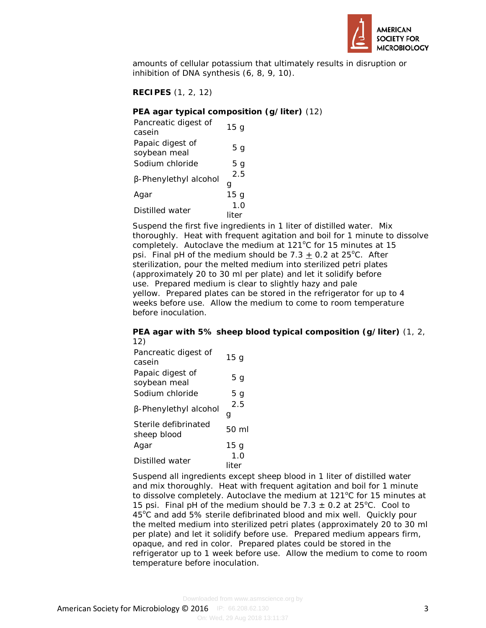

amounts of cellular potassium that ultimately results in disruption or inhibition of DNA synthesis (6, 8, 9, 10).

**RECIPES** (1, 2, 12)

## **PEA agar typical composition (g/liter)** (12)

| Pancreatic digest of<br>casein | 15 <sub>g</sub> |
|--------------------------------|-----------------|
| Papaic digest of               |                 |
| soybean meal                   | 5 g             |
| Sodium chloride                | 5 g             |
| β-Phenylethyl alcohol          | 2.5             |
|                                | a               |
| Aqar                           | 15 g            |
| Distilled water                | 1.0             |
|                                | liter           |

Suspend the first five ingredients in 1 liter of distilled water. Mix thoroughly. Heat with frequent agitation and boil for 1 minute to dissolve completely. Autoclave the medium at 121°C for 15 minutes at 15 psi. Final pH of the medium should be  $7.3 \pm 0.2$  at  $25^{\circ}$ C. After sterilization, pour the melted medium into sterilized petri plates (approximately 20 to 30 ml per plate) and let it solidify before use. Prepared medium is clear to slightly hazy and pale yellow. Prepared plates can be stored in the refrigerator for up to 4 weeks before use. Allow the medium to come to room temperature before inoculation.

#### **PEA agar with 5% sheep blood typical composition (g/liter)** (1, 2, 12)

| Pancreatic digest of<br>casein      | 15 <sub>g</sub>  |
|-------------------------------------|------------------|
| Papaic digest of<br>soybean meal    | 5 g              |
| Sodium chloride                     | 5 g              |
| β-Phenylethyl alcohol               | 2.5<br>g         |
| Sterile defibrinated<br>sheep blood | $50 \mathrm{ml}$ |
| Agar                                | 15 <sub>g</sub>  |
| Distilled water                     | 1.0<br>liter     |

Suspend all ingredients except sheep blood in 1 liter of distilled water and mix thoroughly. Heat with frequent agitation and boil for 1 minute to dissolve completely. Autoclave the medium at  $121^{\circ}$ C for 15 minutes at 15 psi. Final pH of the medium should be  $7.3 \pm 0.2$  at 25°C. Cool to 45°C and add 5% sterile defibrinated blood and mix well. Quickly pour the melted medium into sterilized petri plates (approximately 20 to 30 ml per plate) and let it solidify before use. Prepared medium appears firm, opaque, and red in color. Prepared plates could be stored in the refrigerator up to 1 week before use. Allow the medium to come to room temperature before inoculation.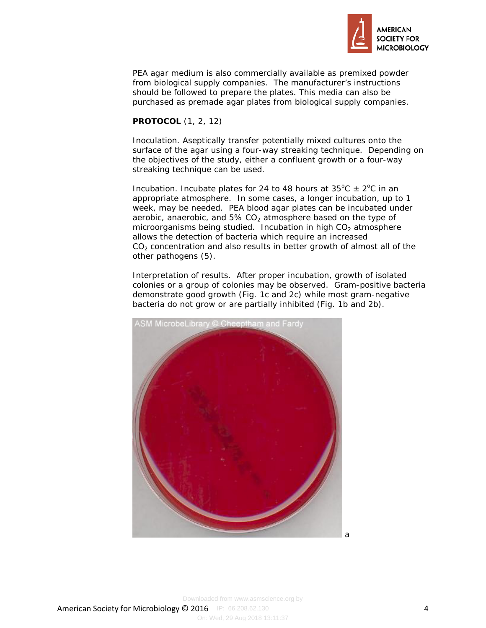

PEA agar medium is also commercially available as premixed powder from biological supply companies. The manufacturer's instructions should be followed to prepare the plates. This media can also be purchased as premade agar plates from biological supply companies.

#### **PROTOCOL** (1, 2, 12)

Inoculation. Aseptically transfer potentially mixed cultures onto the surface of the agar using a four-way streaking technique. Depending on the objectives of the study, either a confluent growth or a four-way streaking technique can be used.

Incubation. Incubate plates for 24 to 48 hours at  $35^{\circ}$ C  $\pm$  2°C in an appropriate atmosphere. In some cases, a longer incubation, up to 1 week, may be needed. PEA blood agar plates can be incubated under aerobic, anaerobic, and  $5\%$  CO<sub>2</sub> atmosphere based on the type of microorganisms being studied. Incubation in high  $CO<sub>2</sub>$  atmosphere allows the detection of bacteria which require an increased  $CO<sub>2</sub>$  concentration and also results in better growth of almost all of the other pathogens (5).

Interpretation of results. After proper incubation, growth of isolated colonies or a group of colonies may be observed. Gram-positive bacteria demonstrate good growth (Fig. 1c and 2c) while most gram-negative bacteria do not grow or are partially inhibited (Fig. 1b and 2b).

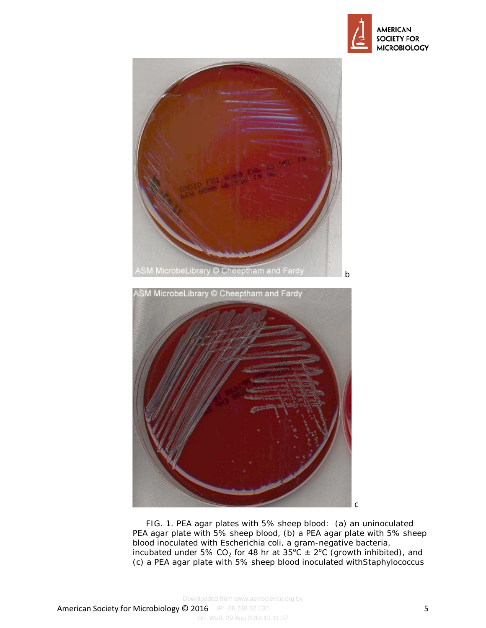



FIG. 1. PEA agar plates with 5% sheep blood: (a) an uninoculated PEA agar plate with 5% sheep blood, (b) a PEA agar plate with 5% sheep blood inoculated with *Escherichia coli*, a gram-negative bacteria, incubated under 5% CO<sub>2</sub> for 48 hr at  $35^{\circ}C \pm 2^{\circ}C$  (growth inhibited), and (c) a PEA agar plate with 5% sheep blood inoculated with*Staphylococcus*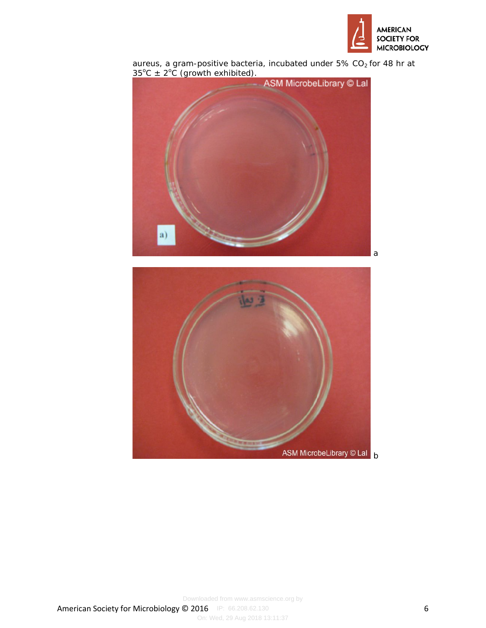



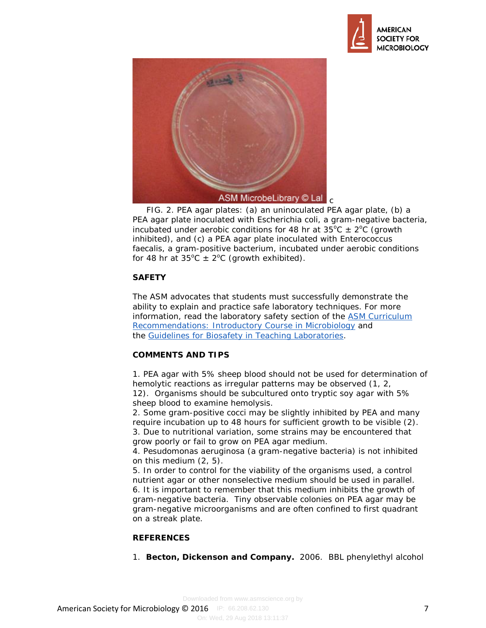



 FIG. 2. PEA agar plates: (a) an uninoculated PEA agar plate, (b) a PEA agar plate inoculated with *Escherichia coli,* a gram-negative bacteria, incubated under aerobic conditions for 48 hr at  $35^{\circ}$ C  $\pm$  2°C (growth inhibited), and (c) a PEA agar plate inoculated with *Enterococcus faecalis,* a gram-positive bacterium, incubated under aerobic conditions for 48 hr at  $35^{\circ}C \pm 2^{\circ}C$  (growth exhibited).

## **SAFETY**

The ASM advocates that students must successfully demonstrate the ability to explain and practice safe laboratory techniques. For more information, read the laboratory safety section of the [ASM Curriculum](http://www.asm.org/index.php/undergraduate-faculty/curriculum-resources-and-publications/29-education/undergraduate-faculty/213-asms-curriculum-recommendations-introductory-course-in-microbiology1)  [Recommendations: Introductory Course in Microbiology](http://www.asm.org/index.php/undergraduate-faculty/curriculum-resources-and-publications/29-education/undergraduate-faculty/213-asms-curriculum-recommendations-introductory-course-in-microbiology1) and the [Guidelines for Biosafety in Teaching Laboratories.](http://www.asm.org/index.php/microbelibrary/laboratory-safety-guidelines)

## **COMMENTS AND TIPS**

1. PEA agar with 5% sheep blood should not be used for determination of hemolytic reactions as irregular patterns may be observed (1, 2, 12). Organisms should be subcultured onto tryptic soy agar with 5% sheep blood to examine hemolysis.

2. Some gram-positive cocci may be slightly inhibited by PEA and many require incubation up to 48 hours for sufficient growth to be visible (2). 3. Due to nutritional variation, some strains may be encountered that grow poorly or fail to grow on PEA agar medium.

4. *Pesudomonas aeruginosa* (a gram-negative bacteria) is not inhibited on this medium (2, 5).

5. In order to control for the viability of the organisms used, a control nutrient agar or other nonselective medium should be used in parallel. 6. It is important to remember that this medium inhibits the growth of gram-negative bacteria. Tiny observable colonies on PEA agar may be gram-negative microorganisms and are often confined to first quadrant on a streak plate.

## **REFERENCES**

1. **Becton, Dickenson and Company.** 2006. BBL phenylethyl alcohol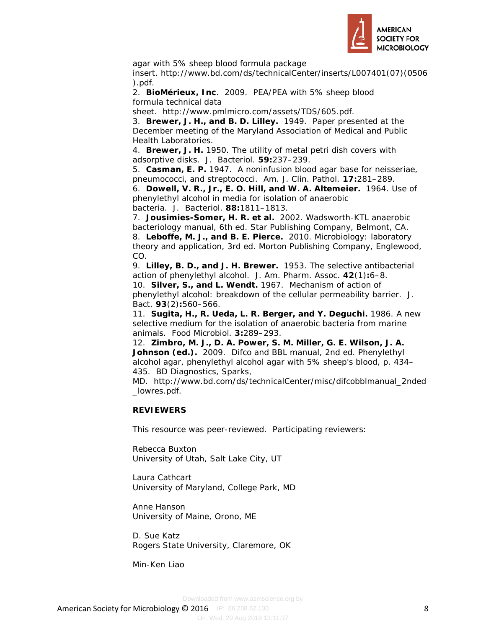

agar with 5% sheep blood formula package

insert. http://www.bd.com/ds/technicalCenter/inserts/L007401(07)(0506 ).pdf.

2. **BioMérieux, Inc**. 2009. PEA/PEA with 5% sheep blood formula technical data

sheet. http://www.pmlmicro.com/assets/TDS/605.pdf.

3. **Brewer, J. H., and B. D. Lilley.** 1949. Paper presented at the December meeting of the Maryland Association of Medical and Public Health Laboratories.

4. **Brewer, J. H.** 1950. The utility of metal petri dish covers with adsorptive disks. J. Bacteriol. **59:**237–239.

5. **Casman, E. P.** 1947. A noninfusion blood agar base for neisseriae, pneumococci, and streptococci. Am. J. Clin. Pathol. **17:**281–289.

6. **Dowell, V. R., Jr., E. O. Hill, and W. A. Altemeier.** 1964. Use of phenylethyl alcohol in media for isolation of anaerobic bacteria. J. Bacteriol. **88:**1811–1813.

7. **Jousimies-Somer, H. R. et al.** 2002. Wadsworth-KTL anaerobic bacteriology manual, 6th ed. Star Publishing Company, Belmont, CA. 8. **Leboffe, M. J., and B. E. Pierce.** 2010. Microbiology: laboratory theory and application, 3rd ed. Morton Publishing Company, Englewood, CO.

9. **Lilley, B. D., and J. H. Brewer.** 1953. The selective antibacterial action of phenylethyl alcohol. J. Am. Pharm. Assoc. **42**(1)**:**6–8. 10. **Silver, S., and L. Wendt.** 1967. Mechanism of action of phenylethyl alcohol: breakdown of the cellular permeability barrier. J. Bact. **93**(2)**:**560–566.

11. **Sugita, H., R. Ueda, L. R. Berger, and Y. Deguchi.** 1986. A new selective medium for the isolation of anaerobic bacteria from marine animals. Food Microbiol. **3:**289–293.

12. **Zimbro, M. J., D. A. Power, S. M. Miller, G. E. Wilson, J. A. Johnson (ed.).** 2009. Difco and BBL manual, 2nd ed. Phenylethyl alcohol agar, phenylethyl alcohol agar with 5% sheep's blood, p. 434– 435. BD Diagnostics, Sparks,

MD. http://www.bd.com/ds/technicalCenter/misc/difcobblmanual\_2nded \_lowres.pdf.

## **REVIEWERS**

This resource was peer-reviewed. Participating reviewers:

Rebecca Buxton University of Utah, Salt Lake City, UT

Laura Cathcart University of Maryland, College Park, MD

Anne Hanson University of Maine, Orono, ME

D. Sue Katz Rogers State University, Claremore, OK

Min-Ken Liao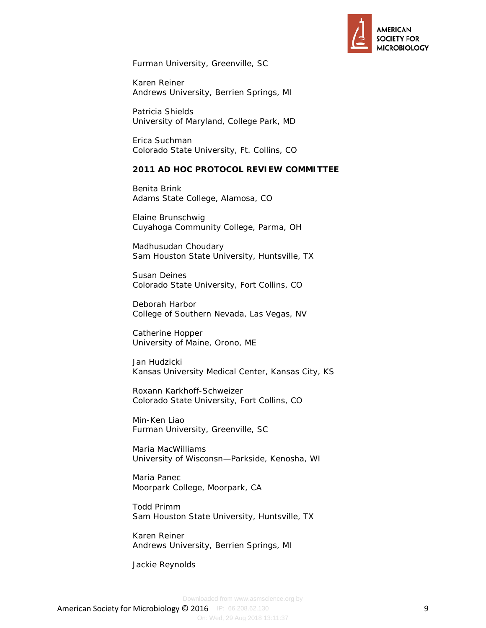

Furman University, Greenville, SC

Karen Reiner Andrews University, Berrien Springs, MI

Patricia Shields University of Maryland, College Park, MD

Erica Suchman Colorado State University, Ft. Collins, CO

### **2011 AD HOC PROTOCOL REVIEW COMMITTEE**

Benita Brink Adams State College, Alamosa, CO

Elaine Brunschwig Cuyahoga Community College, Parma, OH

Madhusudan Choudary Sam Houston State University, Huntsville, TX

Susan Deines Colorado State University, Fort Collins, CO

Deborah Harbor College of Southern Nevada, Las Vegas, NV

Catherine Hopper University of Maine, Orono, ME

Jan Hudzicki Kansas University Medical Center, Kansas City, KS

Roxann Karkhoff-Schweizer Colorado State University, Fort Collins, CO

Min-Ken Liao Furman University, Greenville, SC

Maria MacWilliams University of Wisconsn—Parkside, Kenosha, WI

Maria Panec Moorpark College, Moorpark, CA

Todd Primm Sam Houston State University, Huntsville, TX

Karen Reiner Andrews University, Berrien Springs, MI

Jackie Reynolds